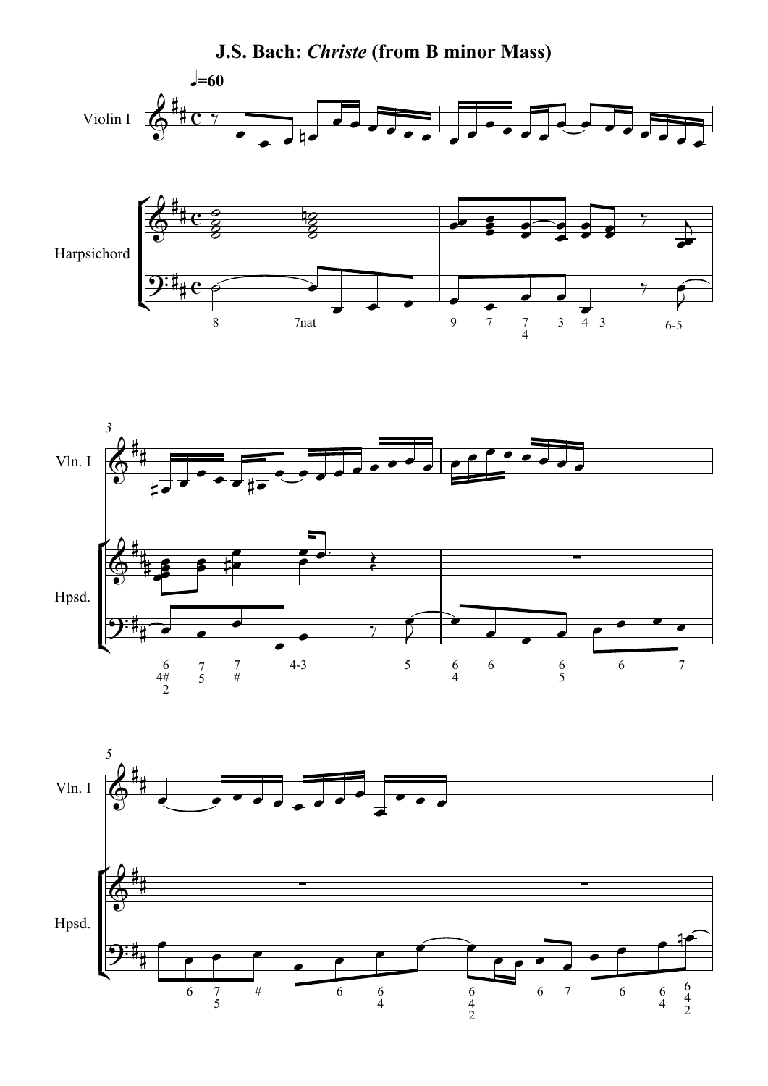